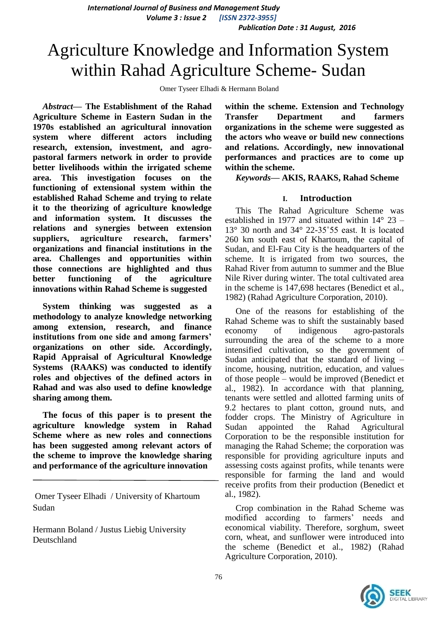*International Journal of Business and Management Study Volume 3 : Issue 2 [ISSN 2372-3955] Publication Date : 31 August, 2016*

# Agriculture Knowledge and Information System within Rahad Agriculture Scheme- Sudan

Omer Tyseer Elhadi & Hermann Boland

*Abstract***— The Establishment of the Rahad Agriculture Scheme in Eastern Sudan in the 1970s established an agricultural innovation system where different actors including research, extension, investment, and agropastoral farmers network in order to provide better livelihoods within the irrigated scheme area. This investigation focuses on the functioning of extensional system within the established Rahad Scheme and trying to relate it to the theorizing of agriculture knowledge and information system. It discusses the relations and synergies between extension suppliers, agriculture research, farmers' organizations and financial institutions in the area. Challenges and opportunities within those connections are highlighted and thus better functioning of the agriculture innovations within Rahad Scheme is suggested**

**System thinking was suggested as a methodology to analyze knowledge networking among extension, research, and finance institutions from one side and among farmers' organizations on other side. Accordingly, Rapid Appraisal of Agricultural Knowledge Systems (RAAKS) was conducted to identify roles and objectives of the defined actors in Rahad and was also used to define knowledge sharing among them.** 

**The focus of this paper is to present the agriculture knowledge system in Rahad Scheme where as new roles and connections has been suggested among relevant actors of the scheme to improve the knowledge sharing and performance of the agriculture innovation** 

Omer Tyseer Elhadi / University of Khartoum Sudan

Hermann Boland / Justus Liebig University Deutschland

**within the scheme. Extension and Technology Transfer Department and farmers organizations in the scheme were suggested as the actors who weave or build new connections and relations. Accordingly, new innovational performances and practices are to come up within the scheme.**

*Keywords—* **AKIS, RAAKS, Rahad Scheme** 

#### **I. Introduction**

This The Rahad Agriculture Scheme was established in 1977 and situated within 14° 23 – 13° 30 north and 34° 22-35˚55 east. It is located 260 km south east of Khartoum, the capital of Sudan, and El-Fau City is the headquarters of the scheme. It is irrigated from two sources, the Rahad River from autumn to summer and the Blue Nile River during winter. The total cultivated area in the scheme is 147,698 hectares (Benedict et al., 1982) (Rahad Agriculture Corporation, 2010).

One of the reasons for establishing of the Rahad Scheme was to shift the sustainably based economy of indigenous agro-pastorals surrounding the area of the scheme to a more intensified cultivation, so the government of Sudan anticipated that the standard of living – income, housing, nutrition, education, and values of those people – would be improved (Benedict et al., 1982). In accordance with that planning, tenants were settled and allotted farming units of 9.2 hectares to plant cotton, ground nuts, and fodder crops. The Ministry of Agriculture in Sudan appointed the Rahad Agricultural Corporation to be the responsible institution for managing the Rahad Scheme; the corporation was responsible for providing agriculture inputs and assessing costs against profits, while tenants were responsible for farming the land and would receive profits from their production (Benedict et al., 1982).

Crop combination in the Rahad Scheme was modified according to farmers' needs and economical viability. Therefore, sorghum, sweet corn, wheat, and sunflower were introduced into the scheme (Benedict et al., 1982) (Rahad Agriculture Corporation, 2010).

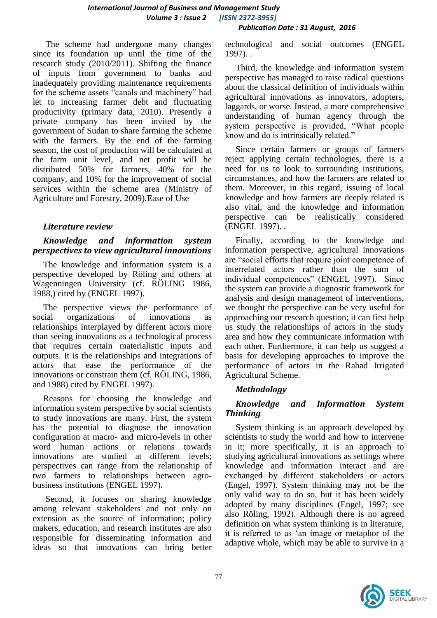The scheme had undergone many changes since its foundation up until the time of the research study (2010/2011). Shifting the finance of inputs from government to banks and inadequately providing maintenance requirements for the scheme assets "canals and machinery" had let to increasing farmer debt and fluctuating productivity (primary data, 2010). Presently a private company has been invited by the government of Sudan to share farming the scheme with the farmers. By the end of the farming season, the cost of production will be calculated at the farm unit level, and net profit will be distributed 50% for farmers, 40% for the company, and 10% for the improvement of social services within the scheme area (Ministry of Agriculture and Forestry, 2009).Ease of Use

### *Literature review*

### *Knowledge and information system perspectives to view agricultural innovations*

The knowledge and information system is a perspective developed by Röling and others at Wagenningen University (cf. RÖLING 1986, 1988,) cited by (ENGEL 1997).

The perspective views the performance of social organizations of innovations as relationships interplayed by different actors more than seeing innovations as a technological process that requires certain materialistic inputs and outputs. It is the relationships and integrations of actors that ease the performance of the innovations or constrain them (cf. RÖLING, 1986, and 1988) cited by ENGEL 1997).

Reasons for choosing the knowledge and information system perspective by social scientists to study innovations are many. First, the system has the potential to diagnose the innovation configuration at macro- and micro-levels in other word human actions or relations towards innovations are studied at different levels; perspectives can range from the relationship of two farmers to relationships between agrobusiness institutions (ENGEL 1997).

Second, it focuses on sharing knowledge among relevant stakeholders and not only on extension as the source of information; policy makers, education, and research institutes are also responsible for disseminating information and ideas so that innovations can bring better technological and social outcomes (ENGEL 1997). .

Third, the knowledge and information system perspective has managed to raise radical questions about the classical definition of individuals within agricultural innovations as innovators, adopters, laggards, or worse. Instead, a more comprehensive understanding of human agency through the system perspective is provided, "What people know and do is intrinsically related."

Since certain farmers or groups of farmers reject applying certain technologies, there is a need for us to look to surrounding institutions, circumstances, and how the farmers are related to them. Moreover, in this regard, issuing of local knowledge and how farmers are deeply related is also vital, and the knowledge and information perspective can be realistically considered (ENGEL 1997). .

Finally, according to the knowledge and information perspective, agricultural innovations are "social efforts that require joint competence of interrelated actors rather than the sum of individual competences" (ENGEL 1997). Since the system can provide a diagnostic framework for analysis and design management of interventions, we thought the perspective can be very useful for approaching our research question; it can first help us study the relationships of actors in the study area and how they communicate information with each other. Furthermore, it can help us suggest a basis for developing approaches to improve the performance of actors in the Rahad Irrigated Agricultural Scheme.

## *Methodology*

## *Knowledge and Information System Thinking*

System thinking is an approach developed by scientists to study the world and how to intervene in it; more specifically, it is an approach to studying agricultural innovations as settings where knowledge and information interact and are exchanged by different stakeholders or actors (Engel, 1997). System thinking may not be the only valid way to do so, but it has been widely adopted by many disciplines (Engel, 1997; see also Röling, 1992). Although there is no agreed definition on what system thinking is in literature, it is referred to as "an image or metaphor of the adaptive whole, which may be able to survive in a

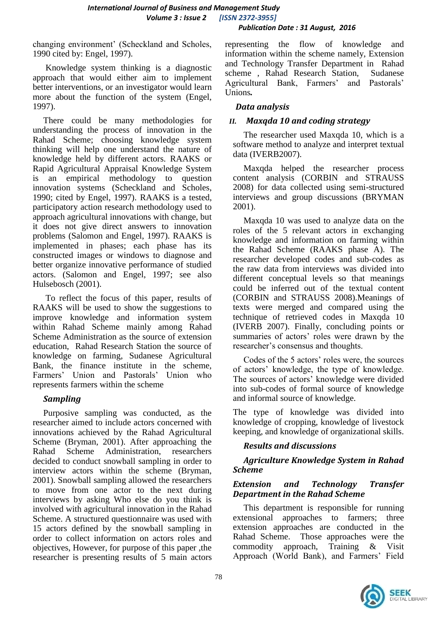changing environment" (Scheckland and Scholes, 1990 cited by: Engel, 1997).

Knowledge system thinking is a diagnostic approach that would either aim to implement better interventions, or an investigator would learn more about the function of the system (Engel, 1997).

There could be many methodologies for understanding the process of innovation in the Rahad Scheme; choosing knowledge system thinking will help one understand the nature of knowledge held by different actors. RAAKS or Rapid Agricultural Appraisal Knowledge System is an empirical methodology to question innovation systems (Scheckland and Scholes, 1990; cited by Engel, 1997). RAAKS is a tested, participatory action research methodology used to approach agricultural innovations with change, but it does not give direct answers to innovation problems (Salomon and Engel, 1997). RAAKS is implemented in phases; each phase has its constructed images or windows to diagnose and better organize innovative performance of studied actors. (Salomon and Engel, 1997; see also Hulsebosch (2001).

To reflect the focus of this paper, results of RAAKS will be used to show the suggestions to improve knowledge and information system within Rahad Scheme mainly among Rahad Scheme Administration as the source of extension education, Rahad Research Station the source of knowledge on farming, Sudanese Agricultural Bank, the finance institute in the scheme, Farmers" Union and Pastorals" Union who represents farmers within the scheme

## *Sampling*

Purposive sampling was conducted, as the researcher aimed to include actors concerned with innovations achieved by the Rahad Agricultural Scheme (Bryman, 2001). After approaching the Rahad Scheme Administration, researchers decided to conduct snowball sampling in order to interview actors within the scheme (Bryman, 2001). Snowball sampling allowed the researchers to move from one actor to the next during interviews by asking Who else do you think is involved with agricultural innovation in the Rahad Scheme. A structured questionnaire was used with 15 actors defined by the snowball sampling in order to collect information on actors roles and objectives, However, for purpose of this paper ,the researcher is presenting results of 5 main actors

representing the flow of knowledge and information within the scheme namely, Extension and Technology Transfer Department in Rahad scheme , Rahad Research Station, Sudanese Agricultural Bank, Farmers' and Pastorals' Unions*.*

## *Data analysis*

# *II. Maxqda 10 and coding strategy*

The researcher used Maxqda 10, which is a software method to analyze and interpret textual data (IVERB2007).

Maxqda helped the researcher process content analysis (CORBIN and STRAUSS 2008) for data collected using semi-structured interviews and group discussions (BRYMAN 2001).

Maxqda 10 was used to analyze data on the roles of the 5 relevant actors in exchanging knowledge and information on farming within the Rahad Scheme (RAAKS phase A). The researcher developed codes and sub-codes as the raw data from interviews was divided into different conceptual levels so that meanings could be inferred out of the textual content (CORBIN and STRAUSS 2008).Meanings of texts were merged and compared using the technique of retrieved codes in Maxqda 10 (IVERB 2007). Finally, concluding points or summaries of actors' roles were drawn by the researcher"s consensus and thoughts.

Codes of the 5 actors' roles were, the sources of actors" knowledge, the type of knowledge. The sources of actors' knowledge were divided into sub-codes of formal source of knowledge and informal source of knowledge.

The type of knowledge was divided into knowledge of cropping, knowledge of livestock keeping, and knowledge of organizational skills.

## *Results and discussions*

## *Agriculture Knowledge System in Rahad Scheme*

## *Extension and Technology Transfer Department in the Rahad Scheme*

This department is responsible for running extensional approaches to farmers; three extension approaches are conducted in the Rahad Scheme. Those approaches were the commodity approach, Training & Visit Approach (World Bank), and Farmers' Field

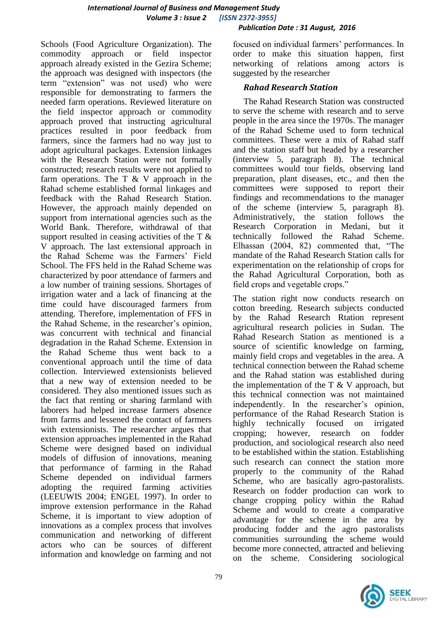#### Schools (Food Agriculture Organization). The commodity approach or field inspector approach already existed in the Gezira Scheme; the approach was designed with inspectors (the term "extension" was not used) who were responsible for demonstrating to farmers the needed farm operations. Reviewed literature on the field inspector approach or commodity approach proved that instructing agricultural practices resulted in poor feedback from farmers, since the farmers had no way just to adopt agricultural packages. Extension linkages with the Research Station were not formally constructed; research results were not applied to farm operations. The  $T \& V$  approach in the Rahad scheme established formal linkages and feedback with the Rahad Research Station. However, the approach mainly depended on support from international agencies such as the World Bank. Therefore, withdrawal of that support resulted in ceasing activities of the T & V approach. The last extensional approach in the Rahad Scheme was the Farmers" Field School. The FFS held in the Rahad Scheme was characterized by poor attendance of farmers and a low number of training sessions. Shortages of irrigation water and a lack of financing at the time could have discouraged farmers from attending. Therefore, implementation of FFS in the Rahad Scheme, in the researcher"s opinion, was concurrent with technical and financial degradation in the Rahad Scheme. Extension in the Rahad Scheme thus went back to a conventional approach until the time of data collection. Interviewed extensionists believed that a new way of extension needed to be considered. They also mentioned issues such as the fact that renting or sharing farmland with laborers had helped increase farmers absence from farms and lessened the contact of farmers with extensionists. The researcher argues that extension approaches implemented in the Rahad Scheme were designed based on individual models of diffusion of innovations, meaning that performance of farming in the Rahad Scheme depended on individual farmers adopting the required farming activities (LEEUWIS 2004; ENGEL 1997). In order to improve extension performance in the Rahad Scheme, it is important to view adoption of innovations as a complex process that involves communication and networking of different actors who can be sources of different information and knowledge on farming and not

 *Publication Date : 31 August, 2016*

focused on individual farmers' performances. In order to make this situation happen, first networking of relations among actors is suggested by the researcher

## *Rahad Research Station*

The Rahad Research Station was constructed to serve the scheme with research and to serve people in the area since the 1970s. The manager of the Rahad Scheme used to form technical committees. These were a mix of Rahad staff and the station staff but headed by a researcher (interview 5, paragraph 8). The technical committees would tour fields, observing land preparation, plant diseases, etc., and then the committees were supposed to report their findings and recommendations to the manager of the scheme (interview 5, paragraph 8). Administratively, the station follows the Research Corporation in Medani, but it technically followed the Rahad Scheme. followed the Rahad Scheme. Elhassan (2004, 82) commented that, "The mandate of the Rahad Research Station calls for experimentation on the relationship of crops for the Rahad Agricultural Corporation, both as field crops and vegetable crops."

The station right now conducts research on cotton breeding. Research subjects conducted by the Rahad Research Rtation represent agricultural research policies in Sudan. The Rahad Research Station as mentioned is a source of scientific knowledge on farming, mainly field crops and vegetables in the area. A technical connection between the Rahad scheme and the Rahad station was established during the implementation of the  $T \& V$  approach, but this technical connection was not maintained independently. In the researcher's opinion, performance of the Rahad Research Station is highly technically focused on irrigated cropping; however, research on fodder production, and sociological research also need to be established within the station. Establishing such research can connect the station more properly to the community of the Rahad Scheme, who are basically agro-pastoralists. Research on fodder production can work to change cropping policy within the Rahad Scheme and would to create a comparative advantage for the scheme in the area by producing fodder and the agro pastoralists communities surrounding the scheme would become more connected, attracted and believing on the scheme. Considering sociological

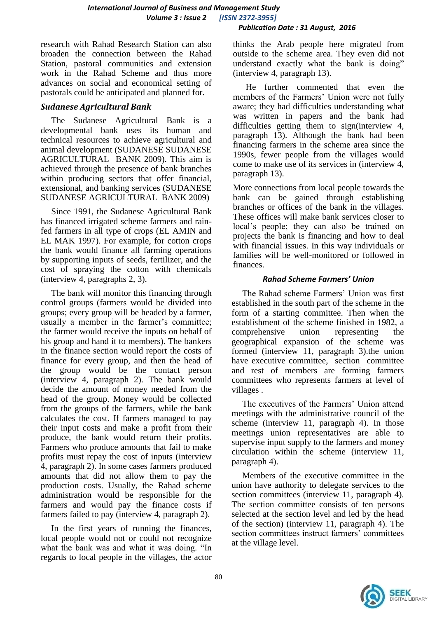research with Rahad Research Station can also broaden the connection between the Rahad Station, pastoral communities and extension work in the Rahad Scheme and thus more advances on social and economical setting of pastorals could be anticipated and planned for.

## *Sudanese Agricultural Bank*

The Sudanese Agricultural Bank is a developmental bank uses its human and technical resources to achieve agricultural and animal development (SUDANESE SUDANESE AGRICULTURAL BANK 2009). This aim is achieved through the presence of bank branches within producing sectors that offer financial, extensional, and banking services (SUDANESE SUDANESE AGRICULTURAL BANK 2009)

Since 1991, the Sudanese Agricultural Bank has financed irrigated scheme farmers and rainfed farmers in all type of crops (EL AMIN and EL MAK 1997). For example, for cotton crops the bank would finance all farming operations by supporting inputs of seeds, fertilizer, and the cost of spraying the cotton with chemicals (interview 4, paragraphs 2, 3).

The bank will monitor this financing through control groups (farmers would be divided into groups; every group will be headed by a farmer, usually a member in the farmer's committee; the farmer would receive the inputs on behalf of his group and hand it to members). The bankers in the finance section would report the costs of finance for every group, and then the head of the group would be the contact person (interview 4, paragraph 2). The bank would decide the amount of money needed from the head of the group. Money would be collected from the groups of the farmers, while the bank calculates the cost. If farmers managed to pay their input costs and make a profit from their produce, the bank would return their profits. Farmers who produce amounts that fail to make profits must repay the cost of inputs (interview 4, paragraph 2). In some cases farmers produced amounts that did not allow them to pay the production costs. Usually, the Rahad scheme administration would be responsible for the farmers and would pay the finance costs if farmers failed to pay (interview 4, paragraph 2).

In the first years of running the finances, local people would not or could not recognize what the bank was and what it was doing. "In regards to local people in the villages, the actor

thinks the Arab people here migrated from outside to the scheme area. They even did not understand exactly what the bank is doing" (interview 4, paragraph 13).

He further commented that even the members of the Farmers' Union were not fully aware; they had difficulties understanding what was written in papers and the bank had difficulties getting them to sign(interview 4, paragraph 13). Although the bank had been financing farmers in the scheme area since the 1990s, fewer people from the villages would come to make use of its services in (interview 4, paragraph 13).

More connections from local people towards the bank can be gained through establishing branches or offices of the bank in the villages. These offices will make bank services closer to local"s people; they can also be trained on projects the bank is financing and how to deal with financial issues. In this way individuals or families will be well-monitored or followed in finances.

#### *Rahad Scheme Farmers' Union*

The Rahad scheme Farmers' Union was first established in the south part of the scheme in the form of a starting committee. Then when the establishment of the scheme finished in 1982, a comprehensive union representing the geographical expansion of the scheme was formed (interview 11, paragraph 3).the union have executive committee, section committee and rest of members are forming farmers committees who represents farmers at level of villages .

The executives of the Farmers' Union attend meetings with the administrative council of the scheme (interview 11, paragraph 4). In those meetings union representatives are able to supervise input supply to the farmers and money circulation within the scheme (interview 11, paragraph 4).

Members of the executive committee in the union have authority to delegate services to the section committees (interview 11, paragraph 4). The section committee consists of ten persons selected at the section level and led by the head of the section) (interview 11, paragraph 4). The section committees instruct farmers' committees at the village level.

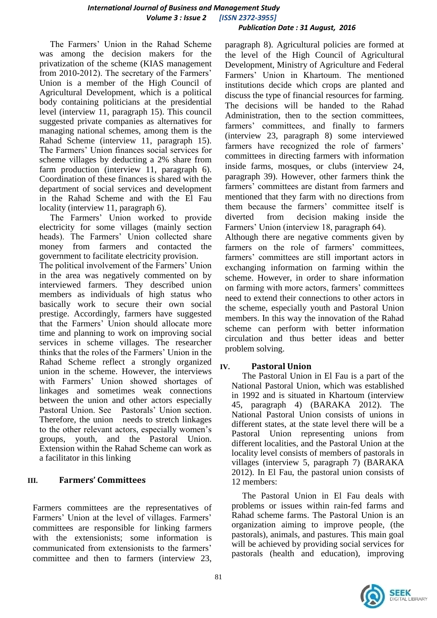The Farmers" Union in the Rahad Scheme was among the decision makers for the privatization of the scheme (KIAS management from 2010-2012). The secretary of the Farmers' Union is a member of the High Council of Agricultural Development, which is a political body containing politicians at the presidential level (interview 11, paragraph 15). This council suggested private companies as alternatives for managing national schemes, among them is the Rahad Scheme (interview 11, paragraph 15). The Farmers" Union finances social services for scheme villages by deducting a 2% share from farm production (interview 11, paragraph 6). Coordination of these finances is shared with the department of social services and development in the Rahad Scheme and with the El Fau locality (interview 11, paragraph 6).

The Farmers" Union worked to provide electricity for some villages (mainly section heads). The Farmers' Union collected share money from farmers and contacted the government to facilitate electricity provision. The political involvement of the Farmers" Union in the area was negatively commented on by interviewed farmers. They described union members as individuals of high status who basically work to secure their own social prestige. Accordingly, farmers have suggested that the Farmers' Union should allocate more time and planning to work on improving social services in scheme villages. The researcher thinks that the roles of the Farmers" Union in the Rahad Scheme reflect a strongly organized union in the scheme. However, the interviews with Farmers' Union showed shortages of linkages and sometimes weak connections between the union and other actors especially Pastoral Union. See Pastorals" Union section. Therefore, the union needs to stretch linkages to the other relevant actors, especially women"s groups, youth, and the Pastoral Union. Extension within the Rahad Scheme can work as a facilitator in this linking

## **III. Farmers' Committees**

Farmers committees are the representatives of Farmers' Union at the level of villages. Farmers' committees are responsible for linking farmers with the extensionists; some information is communicated from extensionists to the farmers" committee and then to farmers (interview 23,

paragraph 8). Agricultural policies are formed at the level of the High Council of Agricultural Development, Ministry of Agriculture and Federal Farmers" Union in Khartoum. The mentioned institutions decide which crops are planted and discuss the type of financial resources for farming. The decisions will be handed to the Rahad Administration, then to the section committees, farmers" committees, and finally to farmers (interview 23, paragraph 8) some interviewed farmers have recognized the role of farmers' committees in directing farmers with information inside farms, mosques, or clubs (interview 24, paragraph 39). However, other farmers think the farmers' committees are distant from farmers and mentioned that they farm with no directions from them because the farmers' committee itself is diverted from decision making inside the Farmers' Union (interview 18, paragraph 64).

Although there are negative comments given by farmers on the role of farmers' committees, farmers' committees are still important actors in exchanging information on farming within the scheme. However, in order to share information on farming with more actors, farmers' committees need to extend their connections to other actors in the scheme, especially youth and Pastoral Union members. In this way the innovation of the Rahad scheme can perform with better information circulation and thus better ideas and better problem solving.

## **IV. Pastoral Union**

The Pastoral Union in El Fau is a part of the National Pastoral Union, which was established in 1992 and is situated in Khartoum (interview 45, paragraph 4) (BARAKA 2012). The National Pastoral Union consists of unions in different states, at the state level there will be a Pastoral Union representing unions from different localities, and the Pastoral Union at the locality level consists of members of pastorals in villages (interview 5, paragraph 7) (BARAKA 2012). In El Fau, the pastoral union consists of 12 members:

The Pastoral Union in El Fau deals with problems or issues within rain-fed farms and Rahad scheme farms. The Pastoral Union is an organization aiming to improve people, (the pastorals), animals, and pastures. This main goal will be achieved by providing social services for pastorals (health and education), improving

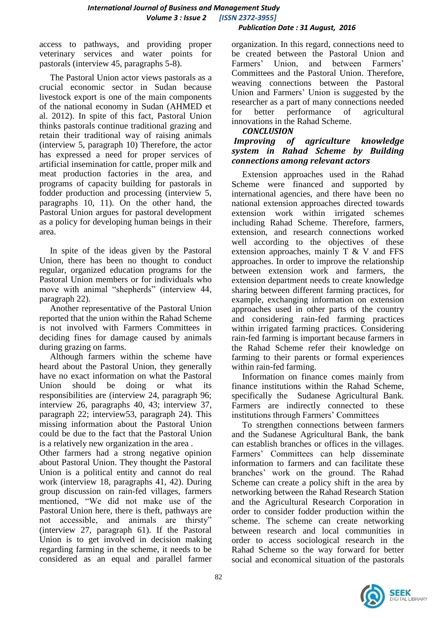access to pathways, and providing proper veterinary services and water points for pastorals (interview 45, paragraphs 5-8).

The Pastoral Union actor views pastorals as a crucial economic sector in Sudan because livestock export is one of the main components of the national economy in Sudan (AHMED et al. 2012). In spite of this fact, Pastoral Union thinks pastorals continue traditional grazing and retain their traditional way of raising animals (interview 5, paragraph 10) Therefore, the actor has expressed a need for proper services of artificial insemination for cattle, proper milk and meat production factories in the area, and programs of capacity building for pastorals in fodder production and processing (interview 5, paragraphs 10, 11). On the other hand, the Pastoral Union argues for pastoral development as a policy for developing human beings in their area.

In spite of the ideas given by the Pastoral Union, there has been no thought to conduct regular, organized education programs for the Pastoral Union members or for individuals who move with animal "shepherds" (interview 44, paragraph 22).

Another representative of the Pastoral Union reported that the union within the Rahad Scheme is not involved with Farmers Committees in deciding fines for damage caused by animals during grazing on farms.

Although farmers within the scheme have heard about the Pastoral Union, they generally have no exact information on what the Pastoral Union should be doing or what its responsibilities are (interview 24, paragraph 96; interview 26, paragraphs 40, 43; interview 37, paragraph 22; interview53, paragraph 24). This missing information about the Pastoral Union could be due to the fact that the Pastoral Union is a relatively new organization in the area .

Other farmers had a strong negative opinion about Pastoral Union. They thought the Pastoral Union is a political entity and cannot do real work (interview 18, paragraphs 41, 42). During group discussion on rain-fed villages, farmers mentioned, "We did not make use of the Pastoral Union here, there is theft, pathways are not accessible, and animals are thirsty" (interview 27, paragraph 61). If the Pastoral Union is to get involved in decision making regarding farming in the scheme, it needs to be considered as an equal and parallel farmer

organization. In this regard, connections need to be created between the Pastoral Union and Farmers' Union, and between Farmers' Committees and the Pastoral Union. Therefore, weaving connections between the Pastoral Union and Farmers" Union is suggested by the researcher as a part of many connections needed for better performance of agricultural innovations in the Rahad Scheme.

### *CONCLUSION*

### *Improving of agriculture knowledge system in Rahad Scheme by Building connections among relevant actors*

Extension approaches used in the Rahad Scheme were financed and supported by international agencies, and there have been no national extension approaches directed towards extension work within irrigated schemes including Rahad Scheme. Therefore, farmers, extension, and research connections worked well according to the objectives of these extension approaches, mainly  $T \& V$  and FFS approaches. In order to improve the relationship between extension work and farmers, the extension department needs to create knowledge sharing between different farming practices, for example, exchanging information on extension approaches used in other parts of the country and considering rain-fed farming practices within irrigated farming practices. Considering rain-fed farming is important because farmers in the Rahad Scheme refer their knowledge on farming to their parents or formal experiences within rain-fed farming.

Information on finance comes mainly from finance institutions within the Rahad Scheme, specifically the Sudanese Agricultural Bank. Farmers are indirectly connected to these institutions through Farmers' Committees

To strengthen connections between farmers and the Sudanese Agricultural Bank, the bank can establish branches or offices in the villages. Farmers" Committees can help disseminate information to farmers and can facilitate these branches" work on the ground. The Rahad Scheme can create a policy shift in the area by networking between the Rahad Research Station and the Agricultural Research Corporation in order to consider fodder production within the scheme. The scheme can create networking between research and local communities in order to access sociological research in the Rahad Scheme so the way forward for better social and economical situation of the pastorals

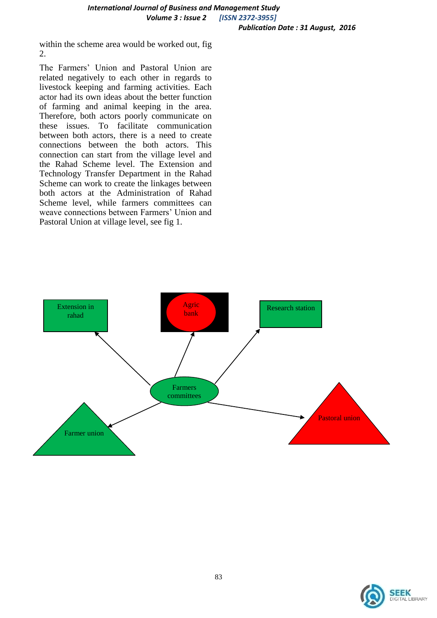within the scheme area would be worked out, fig 2.

The Farmers" Union and Pastoral Union are related negatively to each other in regards to livestock keeping and farming activities. Each actor had its own ideas about the better function of farming and animal keeping in the area. Therefore, both actors poorly communicate on these issues. To facilitate communication between both actors, there is a need to create connections between the both actors. This connection can start from the village level and the Rahad Scheme level. The Extension and Technology Transfer Department in the Rahad Scheme can work to create the linkages between both actors at the Administration of Rahad Scheme level, while farmers committees can weave connections between Farmers" Union and Pastoral Union at village level, see fig 1.



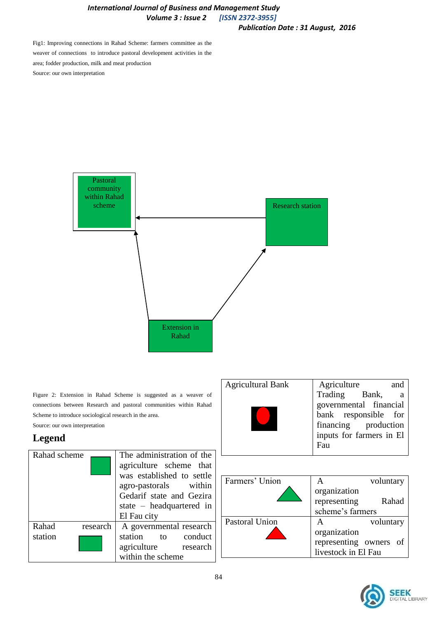#### *International Journal of Business and Management Study Volume 3 : Issue 2 [ISSN 2372-3955] Publication Date : 31 August, 2016*

Fig1: Improving connections in Rahad Scheme: farmers committee as the weaver of connections to introduce pastoral development activities in the area; fodder production, milk and meat production Source: our own interpretation



Figure 2: Extension in Rahad Scheme is suggested as a weaver of connections between Research and pastoral communities within Rahad Scheme to introduce sociological research in the area. Source: our own interpretation

## **Legend**

| Rahad scheme     |          | The administration of the<br>agriculture scheme that<br>was established to settle<br>agro-pastorals within<br>Gedarif state and Gezira<br>state – headquartered in<br>El Fau city |  |
|------------------|----------|-----------------------------------------------------------------------------------------------------------------------------------------------------------------------------------|--|
| Rahad<br>station | research | A governmental research<br>station to conduct<br>agriculture research<br>within the scheme                                                                                        |  |
|                  |          |                                                                                                                                                                                   |  |

| <b>Agricultural Bank</b> | Agriculture<br>and       |  |
|--------------------------|--------------------------|--|
|                          | Trading Bank,<br>a       |  |
|                          | governmental financial   |  |
|                          | bank responsible for     |  |
|                          | financing production     |  |
|                          | inputs for farmers in El |  |
|                          | Fau                      |  |

| Farmers' Union        |                        | voluntary |
|-----------------------|------------------------|-----------|
|                       | organization           |           |
|                       | representing           | Rahad     |
|                       | scheme's farmers       |           |
| <b>Pastoral Union</b> |                        | voluntary |
|                       | organization           |           |
|                       | representing owners of |           |
|                       | livestock in El Fau    |           |